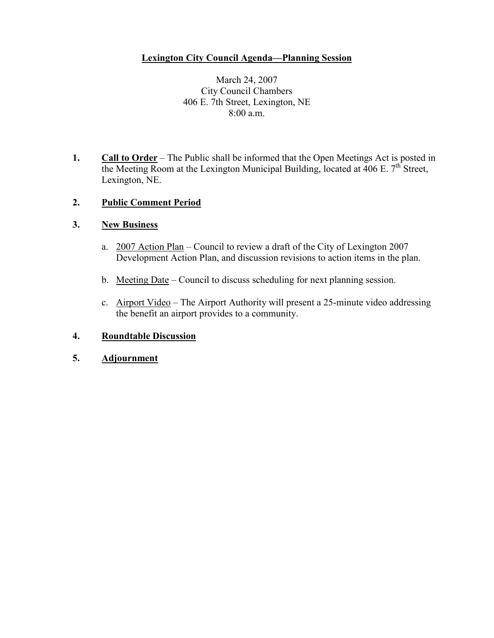### **Lexington City Council Agenda—Planning Session**

March 24, 2007 City Council Chambers 406 E. 7th Street, Lexington, NE 8:00 a.m.

**1. Call to Order** – The Public shall be informed that the Open Meetings Act is posted in the Meeting Room at the Lexington Municipal Building, located at  $406$  E.  $7<sup>th</sup>$  Street, Lexington, NE.

#### **2. Public Comment Period**

#### **3. New Business**

- a. 2007 Action Plan Council to review a draft of the City of Lexington 2007 Development Action Plan, and discussion revisions to action items in the plan.
- b. Meeting Date Council to discuss scheduling for next planning session.
- c. Airport Video The Airport Authority will present a 25-minute video addressing the benefit an airport provides to a community.

#### **4. Roundtable Discussion**

**5. Adjournment**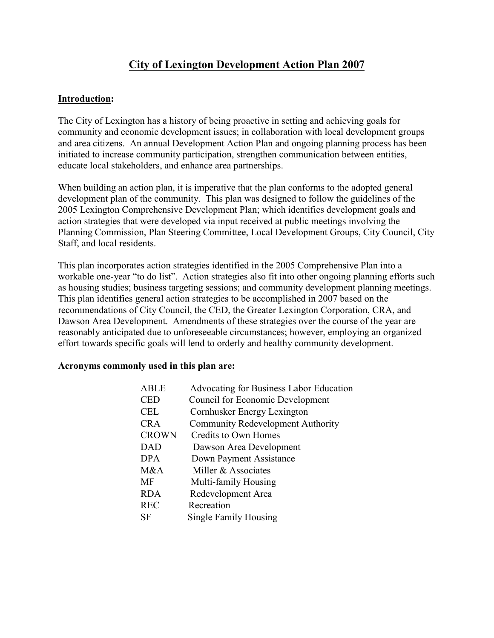# **City of Lexington Development Action Plan 2007**

#### **Introduction:**

The City of Lexington has a history of being proactive in setting and achieving goals for community and economic development issues; in collaboration with local development groups and area citizens. An annual Development Action Plan and ongoing planning process has been initiated to increase community participation, strengthen communication between entities, educate local stakeholders, and enhance area partnerships.

When building an action plan, it is imperative that the plan conforms to the adopted general development plan of the community. This plan was designed to follow the guidelines of the 2005 Lexington Comprehensive Development Plan; which identifies development goals and action strategies that were developed via input received at public meetings involving the Planning Commission, Plan Steering Committee, Local Development Groups, City Council, City Staff, and local residents.

This plan incorporates action strategies identified in the 2005 Comprehensive Plan into a workable one-year "to do list". Action strategies also fit into other ongoing planning efforts such as housing studies; business targeting sessions; and community development planning meetings. This plan identifies general action strategies to be accomplished in 2007 based on the recommendations of City Council, the CED, the Greater Lexington Corporation, CRA, and Dawson Area Development. Amendments of these strategies over the course of the year are reasonably anticipated due to unforeseeable circumstances; however, employing an organized effort towards specific goals will lend to orderly and healthy community development.

#### **Acronyms commonly used in this plan are:**

| <b>ABLE</b>  | Advocating for Business Labor Education  |
|--------------|------------------------------------------|
| <b>CED</b>   | <b>Council for Economic Development</b>  |
| <b>CEL</b>   | Cornhusker Energy Lexington              |
| <b>CRA</b>   | <b>Community Redevelopment Authority</b> |
| <b>CROWN</b> | Credits to Own Homes                     |
| <b>DAD</b>   | Dawson Area Development                  |
| <b>DPA</b>   | Down Payment Assistance                  |
| M&A          | Miller & Associates                      |
| <b>MF</b>    | Multi-family Housing                     |
| <b>RDA</b>   | Redevelopment Area                       |
| <b>REC</b>   | Recreation                               |
| SF           | Single Family Housing                    |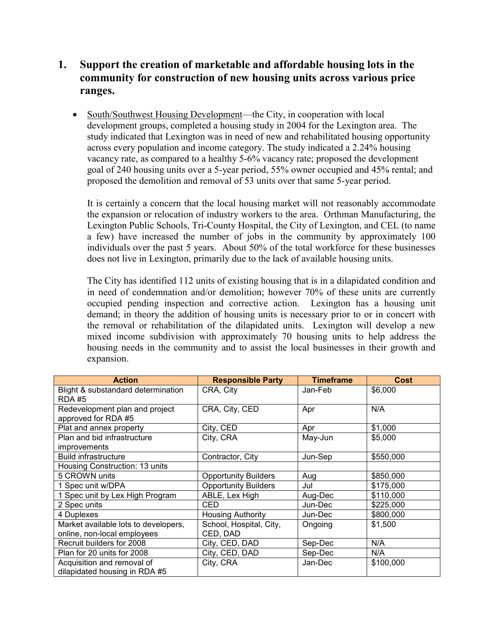## **1. Support the creation of marketable and affordable housing lots in the community for construction of new housing units across various price ranges.**

• South/Southwest Housing Development—the City, in cooperation with local development groups, completed a housing study in 2004 for the Lexington area. The study indicated that Lexington was in need of new and rehabilitated housing opportunity across every population and income category. The study indicated a 2.24% housing vacancy rate, as compared to a healthy 5-6% vacancy rate; proposed the development goal of 240 housing units over a 5-year period, 55% owner occupied and 45% rental; and proposed the demolition and removal of 53 units over that same 5-year period.

It is certainly a concern that the local housing market will not reasonably accommodate the expansion or relocation of industry workers to the area. Orthman Manufacturing, the Lexington Public Schools, Tri-County Hospital, the City of Lexington, and CEL (to name a few) have increased the number of jobs in the community by approximately 100 individuals over the past 5 years. About 50% of the total workforce for these businesses does not live in Lexington, primarily due to the lack of available housing units.

The City has identified 112 units of existing housing that is in a dilapidated condition and in need of condemnation and/or demolition; however  $70\%$  of these units are currently occupied pending inspection and corrective action. Lexington has a housing unit demand; in theory the addition of housing units is necessary prior to or in concert with the removal or rehabilitation of the dilapidated units. Lexington will develop a new mixed income subdivision with approximately 70 housing units to help address the housing needs in the community and to assist the local businesses in their growth and expansion.

| <b>Action</b>                                               | <b>Responsible Party</b>    | <b>Timeframe</b> | Cost      |
|-------------------------------------------------------------|-----------------------------|------------------|-----------|
| Blight & substandard determination<br><b>RDA#5</b>          | CRA, City                   | Jan-Feb          | \$6,000   |
| Redevelopment plan and project<br>approved for RDA #5       | CRA, City, CED              | Apr              | N/A       |
| Plat and annex property                                     | City, CED                   | Apr              | \$1,000   |
| Plan and bid infrastructure                                 | City, CRA                   | May-Jun          | \$5,000   |
| <i>improvements</i>                                         |                             |                  |           |
| <b>Build infrastructure</b>                                 | Contractor, City            | Jun-Sep          | \$550,000 |
| Housing Construction: 13 units                              |                             |                  |           |
| 5 CROWN units                                               | <b>Opportunity Builders</b> | Aug              | \$850,000 |
| 1 Spec unit w/DPA                                           | <b>Opportunity Builders</b> | Jul              | \$175,000 |
| 1 Spec unit by Lex High Program                             | ABLE, Lex High              | Aug-Dec          | \$110,000 |
| 2 Spec units                                                | CED                         | Jun-Dec          | \$225,000 |
| 4 Duplexes                                                  | <b>Housing Authority</b>    | Jun-Dec          | \$800,000 |
| Market available lots to developers,                        | School, Hospital, City,     | Ongoing          | \$1,500   |
| online, non-local employees                                 | CED, DAD                    |                  |           |
| Recruit builders for 2008                                   | City, CED, DAD              | Sep-Dec          | N/A       |
| Plan for 20 units for 2008                                  | City, CED, DAD              | Sep-Dec          | N/A       |
| Acquisition and removal of<br>dilapidated housing in RDA #5 | City, CRA                   | Jan-Dec          | \$100,000 |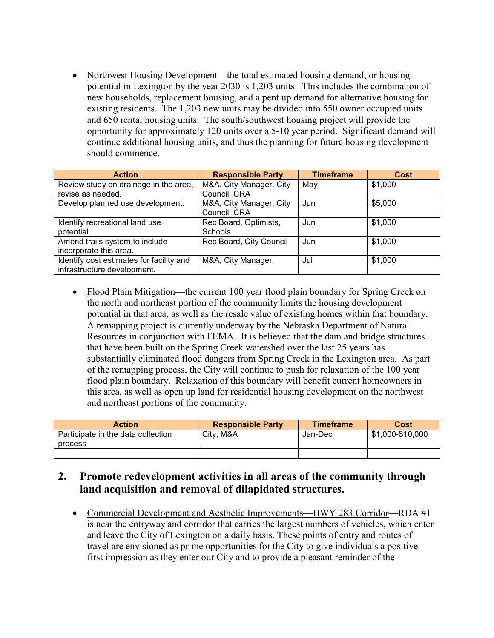• Northwest Housing Development—the total estimated housing demand, or housing potential in Lexington by the year 2030 is 1,203 units. This includes the combination of new households, replacement housing, and a pent up demand for alternative housing for existing residents. The 1,203 new units may be divided into 550 owner occupied units and 650 rental housing units. The south/southwest housing project will provide the opportunity for approximately 120 units over a 5-10 year period. Significant demand will continue additional housing units, and thus the planning for future housing development should commence.

| <b>Action</b>                            | <b>Responsible Party</b> | <b>Timeframe</b> | Cost    |
|------------------------------------------|--------------------------|------------------|---------|
| Review study on drainage in the area,    | M&A, City Manager, City  | May              | \$1,000 |
| revise as needed.                        | Council, CRA             |                  |         |
| Develop planned use development.         | M&A, City Manager, City  | Jun              | \$5,000 |
|                                          | Council, CRA             |                  |         |
| Identify recreational land use           | Rec Board, Optimists,    | Jun              | \$1,000 |
| potential.                               | Schools                  |                  |         |
| Amend trails system to include           | Rec Board, City Council  | Jun              | \$1,000 |
| incorporate this area.                   |                          |                  |         |
| Identify cost estimates for facility and | M&A, City Manager        | Jul              | \$1,000 |
| infrastructure development.              |                          |                  |         |

• Flood Plain Mitigation—the current 100 year flood plain boundary for Spring Creek on the north and northeast portion of the community limits the housing development potential in that area, as well as the resale value of existing homes within that boundary. A remapping project is currently underway by the Nebraska Department of Natural Resources in conjunction with FEMA. It is believed that the dam and bridge structures that have been built on the Spring Creek watershed over the last 25 years has substantially eliminated flood dangers from Spring Creek in the Lexington area. As part of the remapping process, the City will continue to push for relaxation of the 100 year flood plain boundary. Relaxation of this boundary will benefit current homeowners in this area, as well as open up land for residential housing development on the northwest and northeast portions of the community.

| <b>Action</b>                      | <b>Responsible Party</b> | <b>Timeframe</b> | Cost             |
|------------------------------------|--------------------------|------------------|------------------|
| Participate in the data collection | City, M&A                | Jan-Dec          | \$1,000-\$10,000 |
| process                            |                          |                  |                  |
|                                    |                          |                  |                  |

## **2. Promote redevelopment activities in all areas of the community through land acquisition and removal of dilapidated structures.**

 Commercial Development and Aesthetic Improvements—HWY 283 Corridor—RDA #1 is near the entryway and corridor that carries the largest numbers of vehicles, which enter and leave the City of Lexington on a daily basis. These points of entry and routes of travel are envisioned as prime opportunities for the City to give individuals a positive first impression as they enter our City and to provide a pleasant reminder of the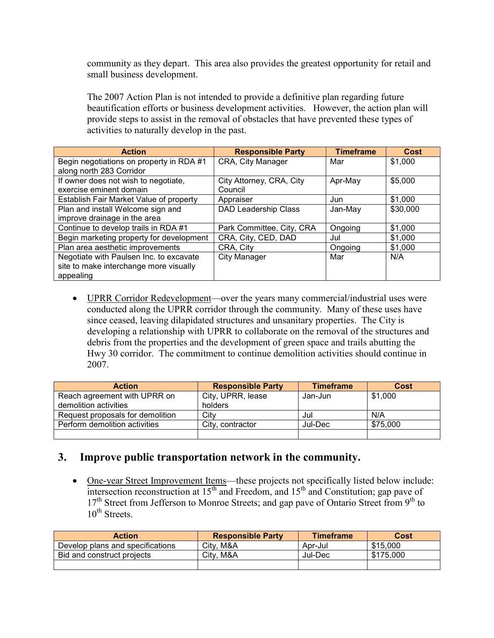community as they depart. This area also provides the greatest opportunity for retail and small business development.

The 2007 Action Plan is not intended to provide a definitive plan regarding future beautification efforts or business development activities. However, the action plan will provide steps to assist in the removal of obstacles that have prevented these types of activities to naturally develop in the past.

| <b>Action</b>                            | <b>Responsible Party</b>    | <b>Timeframe</b> | Cost     |
|------------------------------------------|-----------------------------|------------------|----------|
| Begin negotiations on property in RDA #1 | CRA, City Manager           | Mar              | \$1,000  |
| along north 283 Corridor                 |                             |                  |          |
| If owner does not wish to negotiate,     | City Attorney, CRA, City    | Apr-May          | \$5,000  |
| exercise eminent domain                  | Council                     |                  |          |
| Establish Fair Market Value of property  | Appraiser                   | Jun              | \$1,000  |
| Plan and install Welcome sign and        | <b>DAD Leadership Class</b> | Jan-May          | \$30,000 |
| improve drainage in the area             |                             |                  |          |
| Continue to develop trails in RDA #1     | Park Committee, City, CRA   | Ongoing          | \$1,000  |
| Begin marketing property for development | CRA, City, CED, DAD         | Jul              | \$1,000  |
| Plan area aesthetic improvements         | CRA, City                   | Ongoing          | \$1,000  |
| Negotiate with Paulsen Inc. to excavate  | <b>City Manager</b>         | Mar              | N/A      |
| site to make interchange more visually   |                             |                  |          |
| appealing                                |                             |                  |          |

 UPRR Corridor Redevelopment—over the years many commercial/industrial uses were conducted along the UPRR corridor through the community. Many of these uses have since ceased, leaving dilapidated structures and unsanitary properties. The City is developing a relationship with UPRR to collaborate on the removal of the structures and debris from the properties and the development of green space and trails abutting the Hwy 30 corridor. The commitment to continue demolition activities should continue in 2007.

| <b>Action</b>                    | <b>Responsible Party</b> | <b>Timeframe</b> | Cost     |
|----------------------------------|--------------------------|------------------|----------|
| Reach agreement with UPRR on     | City, UPRR, lease        | Jan-Jun          | \$1,000  |
| demolition activities            | holders                  |                  |          |
| Request proposals for demolition | Citv                     | Jul              | N/A      |
| Perform demolition activities    | City, contractor         | Jul-Dec          | \$75,000 |
|                                  |                          |                  |          |

### **3. Improve public transportation network in the community.**

 One-year Street Improvement Items—these projects not specifically listed below include: intersection reconstruction at  $15<sup>th</sup>$  and Freedom, and  $15<sup>th</sup>$  and Constitution; gap pave of 17<sup>th</sup> Street from Jefferson to Monroe Streets; and gap pave of Ontario Street from 9<sup>th</sup> to 10<sup>th</sup> Streets.

| <b>Action</b>                    | <b>Responsible Party</b> | <b>Timeframe</b> | Cost      |
|----------------------------------|--------------------------|------------------|-----------|
| Develop plans and specifications | Citv. M&A                | Apr-Jul          | \$15,000  |
| Bid and construct projects       | City, M&A                | Jul-Dec          | \$175,000 |
|                                  |                          |                  |           |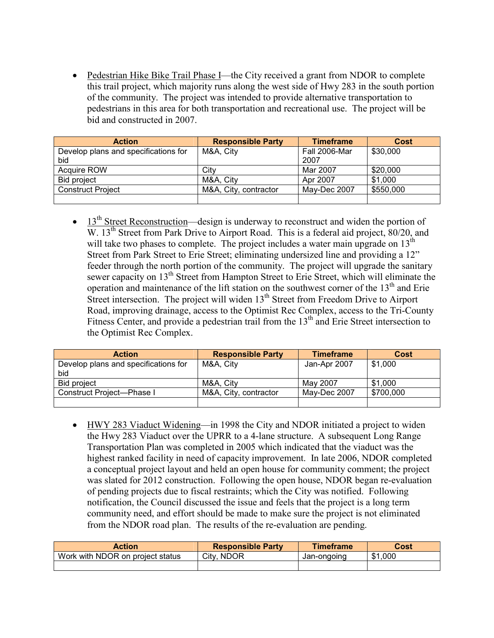Pedestrian Hike Bike Trail Phase I—the City received a grant from NDOR to complete this trail project, which majority runs along the west side of Hwy 283 in the south portion of the community. The project was intended to provide alternative transportation to pedestrians in this area for both transportation and recreational use. The project will be bid and constructed in 2007.

| <b>Action</b>                               | <b>Responsible Party</b> | <b>Timeframe</b>      | Cost      |
|---------------------------------------------|--------------------------|-----------------------|-----------|
| Develop plans and specifications for<br>bid | M&A, City                | Fall 2006-Mar<br>2007 | \$30,000  |
| <b>Acquire ROW</b>                          | City                     | Mar 2007              | \$20,000  |
| <b>Bid project</b>                          | M&A. City                | Apr 2007              | \$1,000   |
| <b>Construct Project</b>                    | M&A, City, contractor    | May-Dec 2007          | \$550,000 |
|                                             |                          |                       |           |

 $\bullet$  13<sup>th</sup> Street Reconstruction—design is underway to reconstruct and widen the portion of W. 13<sup>th</sup> Street from Park Drive to Airport Road. This is a federal aid project, 80/20, and will take two phases to complete. The project includes a water main upgrade on  $13<sup>th</sup>$ Street from Park Street to Erie Street; eliminating undersized line and providing a 12" feeder through the north portion of the community. The project will upgrade the sanitary sewer capacity on 13<sup>th</sup> Street from Hampton Street to Erie Street, which will eliminate the operation and maintenance of the lift station on the southwest corner of the 13<sup>th</sup> and Erie Street intersection. The project will widen 13<sup>th</sup> Street from Freedom Drive to Airport Road, improving drainage, access to the Optimist Rec Complex, access to the Tri-County Fitness Center, and provide a pedestrian trail from the 13<sup>th</sup> and Erie Street intersection to the Optimist Rec Complex.

| <b>Action</b>                        | <b>Responsible Party</b> | <b>Timeframe</b> | Cost      |
|--------------------------------------|--------------------------|------------------|-----------|
| Develop plans and specifications for | M&A, City                | Jan-Apr 2007     | \$1,000   |
| bid                                  |                          |                  |           |
| Bid project                          | M&A. Citv                | May 2007         | \$1,000   |
| Construct Project-Phase I            | M&A, City, contractor    | May-Dec 2007     | \$700,000 |
|                                      |                          |                  |           |

 HWY 283 Viaduct Widening—in 1998 the City and NDOR initiated a project to widen the Hwy 283 Viaduct over the UPRR to a 4-lane structure. A subsequent Long Range Transportation Plan was completed in 2005 which indicated that the viaduct was the highest ranked facility in need of capacity improvement. In late 2006, NDOR completed a conceptual project layout and held an open house for community comment; the project was slated for 2012 construction. Following the open house, NDOR began re-evaluation of pending projects due to fiscal restraints; which the City was notified. Following notification, the Council discussed the issue and feels that the project is a long term community need, and effort should be made to make sure the project is not eliminated from the NDOR road plan. The results of the re-evaluation are pending.

| <b>Action</b>                    | <b>Responsible Party</b> | <b>Timeframe</b> | Cost              |
|----------------------------------|--------------------------|------------------|-------------------|
| Work with NDOR on project status | City,<br><b>NDOR</b>     | Jan-ongoing      | .000<br>ጥ 4<br>JЫ |
|                                  |                          |                  |                   |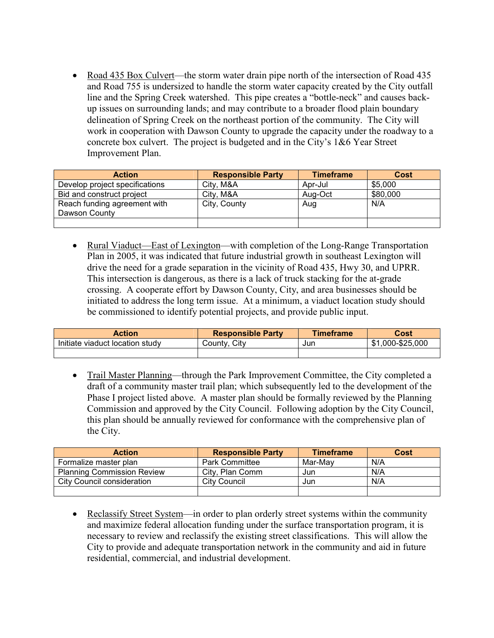• Road 435 Box Culvert—the storm water drain pipe north of the intersection of Road 435 and Road 755 is undersized to handle the storm water capacity created by the City outfall line and the Spring Creek watershed. This pipe creates a "bottle-neck" and causes back up issues on surrounding lands; and may contribute to a broader flood plain boundary delineation of Spring Creek on the northeast portion of the community. The City will work in cooperation with Dawson County to upgrade the capacity under the roadway to a concrete box culvert. The project is budgeted and in the City's 1&6 Year Street Improvement Plan.

| <b>Action</b>                  | <b>Responsible Party</b> | <b>Timeframe</b> | Cost     |
|--------------------------------|--------------------------|------------------|----------|
| Develop project specifications | City, M&A                | Apr-Jul          | \$5,000  |
| Bid and construct project      | City, M&A                | Aug-Oct          | \$80,000 |
| Reach funding agreement with   | City, County             | Aug              | N/A      |
| Dawson County                  |                          |                  |          |
|                                |                          |                  |          |

 Rural Viaduct—East of Lexington—with completion of the Long-Range Transportation Plan in 2005, it was indicated that future industrial growth in southeast Lexington will drive the need for a grade separation in the vicinity of Road 435, Hwy 30, and UPRR. This intersection is dangerous, as there is a lack of truck stacking for the at-grade crossing. A cooperate effort by Dawson County, City, and area businesses should be initiated to address the long term issue. At a minimum, a viaduct location study should be commissioned to identify potential projects, and provide public input.

| <b>Action</b>                   | <b>Responsible Party</b> | <b>Timeframe</b> | Cost                              |
|---------------------------------|--------------------------|------------------|-----------------------------------|
| Initiate viaduct location study | City<br>ڪount∨           | Jun              | 000-\$25,000<br><b>COM</b><br>ъĐ. |
|                                 |                          |                  |                                   |

• Trail Master Planning—through the Park Improvement Committee, the City completed a draft of a community master trail plan; which subsequently led to the development of the Phase I project listed above. A master plan should be formally reviewed by the Planning Commission and approved by the City Council. Following adoption by the City Council, this plan should be annually reviewed for conformance with the comprehensive plan of the City.

| <b>Action</b>                     | <b>Responsible Party</b> | <b>Timeframe</b> | <b>Cost</b> |
|-----------------------------------|--------------------------|------------------|-------------|
| Formalize master plan             | <b>Park Committee</b>    | Mar-Mav          | N/A         |
| <b>Planning Commission Review</b> | City, Plan Comm          | Jun              | N/A         |
| City Council consideration        | City Council             | Jun              | N/A         |
|                                   |                          |                  |             |

• Reclassify Street System—in order to plan orderly street systems within the community and maximize federal allocation funding under the surface transportation program, it is necessary to review and reclassify the existing street classifications. This will allow the City to provide and adequate transportation network in the community and aid in future residential, commercial, and industrial development.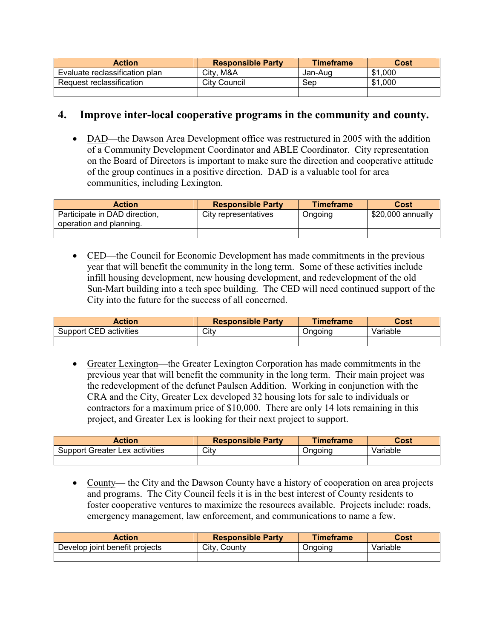| <b>Action</b>                  | <b>Responsible Party</b> | <b>Timeframe</b> | Cost    |
|--------------------------------|--------------------------|------------------|---------|
| Evaluate reclassification plan | City, M&A                | Jan-Aug          | \$1,000 |
| Request reclassification       | City Council             | Sep              | \$1,000 |
|                                |                          |                  |         |

### **4. Improve inter-local cooperative programs in the community and county.**

• DAD—the Dawson Area Development office was restructured in 2005 with the addition of a Community Development Coordinator and ABLE Coordinator. City representation on the Board of Directors is important to make sure the direction and cooperative attitude of the group continues in a positive direction. DAD is a valuable tool for area communities, including Lexington.

| <b>Action</b>                                            | <b>Responsible Party</b> | <b>Timeframe</b> | Cost              |
|----------------------------------------------------------|--------------------------|------------------|-------------------|
| Participate in DAD direction,<br>operation and planning. | City representatives     | Ongoing          | \$20,000 annually |
|                                                          |                          |                  |                   |

 CED—the Council for Economic Development has made commitments in the previous year that will benefit the community in the long term. Some of these activities include infill housing development, new housing development, and redevelopment of the old Sun-Mart building into a tech spec building. The CED will need continued support of the City into the future for the success of all concerned.

| <b>Action</b>          | <b>Responsible Party</b> | Timeframe | Cost     |
|------------------------|--------------------------|-----------|----------|
| Support CED activities | Citv                     | )naoina   | Variable |
|                        |                          |           |          |

 Greater Lexington—the Greater Lexington Corporation has made commitments in the previous year that will benefit the community in the long term. Their main project was the redevelopment of the defunct Paulsen Addition. Working in conjunction with the CRA and the City, Greater Lex developed 32 housing lots for sale to individuals or contractors for a maximum price of \$10,000. There are only 14 lots remaining in this project, and Greater Lex is looking for their next project to support.

| Action                                | <b>Responsible Party</b> | <b>Timeframe</b> | Cost     |
|---------------------------------------|--------------------------|------------------|----------|
| <b>Support Greater Lex activities</b> | City                     | Onaoina          | Variable |
|                                       |                          |                  |          |

• County— the City and the Dawson County have a history of cooperation on area projects and programs. The City Council feels it is in the best interest of County residents to foster cooperative ventures to maximize the resources available. Projects include: roads, emergency management, law enforcement, and communications to name a few.

| Action                         | <b>Responsible Party</b> | <b>Timeframe</b> | Cost     |
|--------------------------------|--------------------------|------------------|----------|
| Develop joint benefit projects | City,<br>County          | Onaoina          | Variable |
|                                |                          |                  |          |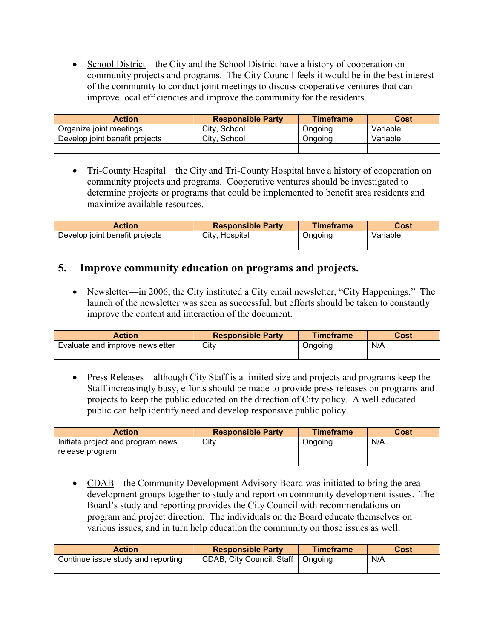• School District—the City and the School District have a history of cooperation on community projects and programs. The City Council feels itwould be in the best interest of the community to conduct joint meetings to discuss cooperative ventures that can improve local efficiencies and improve the community for the residents.

| <b>Action</b>                  | <b>Responsible Party</b> | <b>Timeframe</b> | Cost     |
|--------------------------------|--------------------------|------------------|----------|
| Organize joint meetings        | City, School             | Onaoina          | Variable |
| Develop joint benefit projects | City, School             | <b>Ongoing</b>   | Variable |
|                                |                          |                  |          |

• Tri-County Hospital—the City and Tri-County Hospital have a history of cooperation on community projects and programs. Cooperative ventures should be investigated to determine projects or programs that could be implemented to benefit area residents and maximize available resources.

| <b>Action</b>                  | <b>Responsible Party</b> | Timeframe | Cost     |
|--------------------------------|--------------------------|-----------|----------|
| Develop joint benefit projects | City, Hospital           | Onaoina   | Variable |
|                                |                          |           |          |

### **5. Improve community education on programs and projects.**

• Newsletter—in 2006, the City instituted a City email newsletter, "City Happenings." The launch of the newsletter was seen as successful, but efforts should be taken to constantly improve the content and interaction of the document.

| <b>Action</b>                   | <b>Responsible Party</b> | <b>Timeframe</b> | Cost |
|---------------------------------|--------------------------|------------------|------|
| Evaluate and improve newsletter | City                     | Onaoına          | N/A  |
|                                 |                          |                  |      |

 Press Releases—although City Staff is a limited size and projects and programs keep the Staff increasingly busy, efforts should be made to provide press releases on programs and projects to keep the public educated on the direction of City policy. A well educated public can help identify need and develop responsive public policy.

| <b>Action</b>                                        | <b>Responsible Party</b> | <b>Timeframe</b> | Cost |
|------------------------------------------------------|--------------------------|------------------|------|
| Initiate project and program news<br>release program | City                     | Ongoing          | N/A  |
|                                                      |                          |                  |      |

• CDAB—the Community Development Advisory Board was initiated to bring the area development groups together to study and report on community development issues. The Board's study and reporting provides the City Council with recommendations on program and project direction. The individuals on the Board educate themselves on various issues, and in turn help education the community on those issues as well.

| Action                             | <b>Responsible Party</b>  | Timeframe | Cost |
|------------------------------------|---------------------------|-----------|------|
| Continue issue study and reporting | CDAB, City Council, Staff | Ongoing   | N/A  |
|                                    |                           |           |      |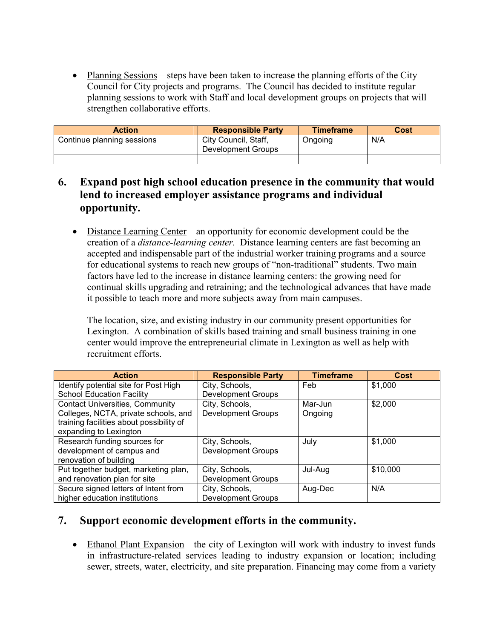• Planning Sessions—steps have been taken to increase the planning efforts of the City Council for City projects and programs. The Council has decided to institute regular planning sessions to work with Staff and local development groups on projects that will strengthen collaborative efforts.

| <b>Action</b>              | <b>Responsible Party</b>                   | <b>Timeframe</b> | Cost |
|----------------------------|--------------------------------------------|------------------|------|
| Continue planning sessions | City Council, Staff,<br>Development Groups | Ongoing          | N/A  |
|                            |                                            |                  |      |

## **6. Expand post high school education presence in the community that would lend to increased employer assistance programs and individual opportunity.**

 Distance Learning Center—an opportunity for economic development could be the creation of a *distance-learning center.* Distance learning centers are fast becoming an accepted and indispensable part of the industrial worker training programs and a source for educational systems to reach new groups of "non-traditional" students. Two main factors have led to the increase in distance learning centers: the growing need for continual skills upgrading and retraining; and the technological advances that have made it possible to teach more and more subjects away from main campuses.

The location, size, and existing industry in our community present opportunities for Lexington. A combination of skills based training and small business training in one center would improve the entrepreneurial climate in Lexington as well as help with recruitment efforts.

| <b>Action</b>                            | <b>Responsible Party</b>  | <b>Timeframe</b> | Cost     |
|------------------------------------------|---------------------------|------------------|----------|
| Identify potential site for Post High    | City, Schools,            | Feb              | \$1,000  |
| <b>School Education Facility</b>         | <b>Development Groups</b> |                  |          |
| <b>Contact Universities, Community</b>   | City, Schools,            | Mar-Jun          | \$2,000  |
| Colleges, NCTA, private schools, and     | <b>Development Groups</b> | Ongoing          |          |
| training facilities about possibility of |                           |                  |          |
| expanding to Lexington                   |                           |                  |          |
| Research funding sources for             | City, Schools,            | July             | \$1,000  |
| development of campus and                | <b>Development Groups</b> |                  |          |
| renovation of building                   |                           |                  |          |
| Put together budget, marketing plan,     | City, Schools,            | Jul-Aug          | \$10,000 |
| and renovation plan for site             | <b>Development Groups</b> |                  |          |
| Secure signed letters of Intent from     | City, Schools,            | Aug-Dec          | N/A      |
| higher education institutions            | <b>Development Groups</b> |                  |          |

### **7. Support economic development efforts in the community.**

 Ethanol Plant Expansion—the city of Lexington will work with industry to invest funds in infrastructure-related services leading to industry expansion or location; including sewer, streets, water, electricity, and site preparation. Financing may come from a variety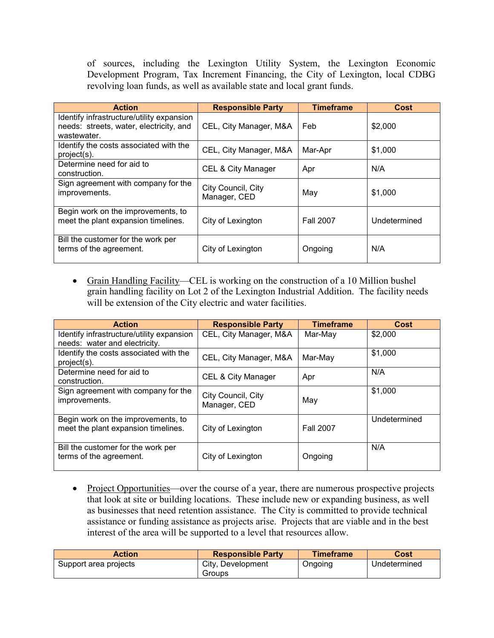of sources, including the Lexington Utility System, the Lexington Economic Development Program, Tax Increment Financing, the City of Lexington, local CDBG revolving loan funds, as well as available state and local grant funds.

| <b>Action</b>                                                                                       | <b>Responsible Party</b>           | <b>Timeframe</b> | <b>Cost</b>  |
|-----------------------------------------------------------------------------------------------------|------------------------------------|------------------|--------------|
| Identify infrastructure/utility expansion<br>needs: streets, water, electricity, and<br>wastewater. | CEL, City Manager, M&A             | Feb              | \$2,000      |
| Identify the costs associated with the<br>project(s).                                               | CEL, City Manager, M&A             | Mar-Apr          | \$1,000      |
| Determine need for aid to<br>construction.                                                          | CEL & City Manager                 | Apr              | N/A          |
| Sign agreement with company for the<br>improvements.                                                | City Council, City<br>Manager, CED | May              | \$1,000      |
| Begin work on the improvements, to<br>meet the plant expansion timelines.                           | City of Lexington                  | <b>Fall 2007</b> | Undetermined |
| Bill the customer for the work per<br>terms of the agreement.                                       | City of Lexington                  | Ongoing          | N/A          |

 Grain Handling Facility—CEL is working on the construction of a 10 Million bushel grain handling facility on Lot2 of the Lexington Industrial Addition. The facility needs will be extension of the City electric and water facilities.

| <b>Action</b>                                                              | <b>Responsible Party</b>           | <b>Timeframe</b> | Cost         |
|----------------------------------------------------------------------------|------------------------------------|------------------|--------------|
| Identify infrastructure/utility expansion<br>needs: water and electricity. | CEL, City Manager, M&A             | Mar-May          | \$2,000      |
| Identify the costs associated with the<br>project(s).                      | CEL, City Manager, M&A             | Mar-May          | \$1,000      |
| Determine need for aid to<br>construction.                                 | CEL & City Manager                 | Apr              | N/A          |
| Sign agreement with company for the<br>improvements.                       | City Council, City<br>Manager, CED | May              | \$1,000      |
| Begin work on the improvements, to<br>meet the plant expansion timelines.  | City of Lexington                  | <b>Fall 2007</b> | Undetermined |
| Bill the customer for the work per<br>terms of the agreement.              | City of Lexington                  | Ongoing          | N/A          |

• Project Opportunities—over the course of a year, there are numerous prospective projects that look at site or building locations. These include new or expanding business, as well as businesses that need retention assistance. The City is committed to provide technical assistance or funding assistance as projects arise. Projects that are viable and in the best interest of the area will be supported to a level that resources allow.

| Action                | <b>Responsible Party</b>    | <b>Timeframe</b> | Cost         |
|-----------------------|-----------------------------|------------------|--------------|
| Support area projects | City, Development<br>Groups | Ongoing          | Undetermined |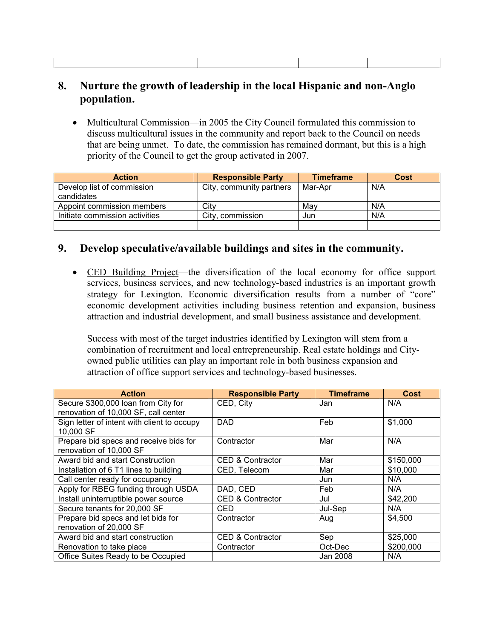## **8. Nurture the growth of leadership in the local Hispanic and non-Anglo population.**

• Multicultural Commission—in 2005 the City Council formulated this commission to discuss multicultural issues in the community and report back to the Council on needs that are being unmet. To date, the commission has remained dormant, but this is a high priority of the Council to get the group activated in 2007.

| <b>Action</b>                            | <b>Responsible Party</b> | <b>Timeframe</b> | Cost |
|------------------------------------------|--------------------------|------------------|------|
| Develop list of commission<br>candidates | City, community partners | Mar-Apr          | N/A  |
| Appoint commission members               | City                     | Mav              | N/A  |
| Initiate commission activities           | City, commission         | Jun              | N/A  |
|                                          |                          |                  |      |

### **9. Develop speculative/available buildings and sites in the community.**

 CED Building Project—the diversification of the local economy for office support services, business services, and new technology-based industries is an important growth strategy for Lexington. Economic diversification results from a number of "core" economic development activities including business retention and expansion, business attraction and industrial development, and small business assistance and development.

Success with most of the target industries identified by Lexington will stem from a combination of recruitment and local entrepreneurship. Real estate holdings and City owned public utilities can play an important role in both business expansion and attraction of office support services and technology-based businesses.

| <b>Action</b>                                                               | <b>Responsible Party</b>    | <b>Timeframe</b> | Cost      |
|-----------------------------------------------------------------------------|-----------------------------|------------------|-----------|
| Secure \$300,000 loan from City for<br>renovation of 10,000 SF, call center | CED, City                   | Jan              | N/A       |
| Sign letter of intent with client to occupy<br>10,000 SF                    | <b>DAD</b>                  | Feb              | \$1,000   |
| Prepare bid specs and receive bids for<br>renovation of 10,000 SF           | Contractor                  | Mar              | N/A       |
| Award bid and start Construction                                            | <b>CED &amp; Contractor</b> | Mar              | \$150,000 |
| Installation of 6 T1 lines to building                                      | CED, Telecom                | Mar              | \$10,000  |
| Call center ready for occupancy                                             |                             | Jun              | N/A       |
| Apply for RBEG funding through USDA                                         | DAD, CED                    | Feb              | N/A       |
| Install uninterruptible power source                                        | <b>CED &amp; Contractor</b> | Jul              | \$42,200  |
| Secure tenants for 20,000 SF                                                | CED                         | Jul-Sep          | N/A       |
| Prepare bid specs and let bids for<br>renovation of 20,000 SF               | Contractor                  | Aug              | \$4,500   |
| Award bid and start construction                                            | <b>CED &amp; Contractor</b> | Sep              | \$25,000  |
| Renovation to take place                                                    | Contractor                  | Oct-Dec          | \$200,000 |
| Office Suites Ready to be Occupied                                          |                             | Jan 2008         | N/A       |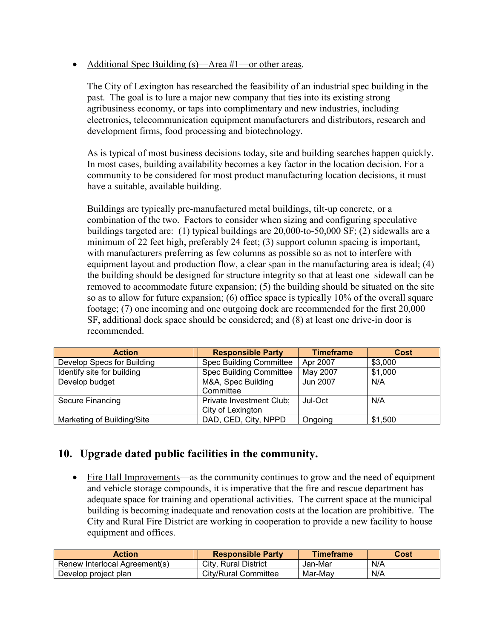• Additional Spec Building (s)—Area #1—or other areas.

The City of Lexington has researched the feasibility of an industrial spec building in the past. The goal is to lure a major new company that ties into its existing strong agribusiness economy, or taps into complimentary and new industries, including electronics, telecommunication equipment manufacturers and distributors, research and development firms, food processing and biotechnology.

As is typical of most business decisions today, site and building searches happen quickly. In most cases, building availability becomes a key factor in the location decision. For a community to be considered for most product manufacturing location decisions, it must have a suitable, available building.

Buildings are typically pre-manufactured metal buildings, tilt-up concrete, or a combination of the two. Factors to consider when sizing and configuring speculative buildings targeted are: (1) typical buildings are 20,000-to-50,000 SF;(2) sidewalls are a minimum of 22 feet high, preferably 24 feet; (3) support column spacing is important, with manufacturers preferring as few columns as possible so as not to interfere with equipment layout and production flow, a clear span in the manufacturing area is ideal; (4) the building should be designed for structure integrity so that at least one sidewall can be removed to accommodate future expansion; (5) the building should be situated on the site so as to allow for future expansion; (6) office space is typically 10% of the overall square footage; (7) one incoming and one outgoing dock are recommended for the first 20,000 SF, additional dock space should be considered; and (8) at least one drive-in door is recommended.

| <b>Action</b>              | <b>Responsible Party</b>       | <b>Timeframe</b> | <b>Cost</b> |
|----------------------------|--------------------------------|------------------|-------------|
| Develop Specs for Building | <b>Spec Building Committee</b> | Apr 2007         | \$3,000     |
| Identify site for building | <b>Spec Building Committee</b> | May 2007         | \$1,000     |
| Develop budget             | M&A, Spec Building             | Jun 2007         | N/A         |
|                            | Committee                      |                  |             |
| Secure Financing           | Private Investment Club;       | Jul-Oct          | N/A         |
|                            | City of Lexington              |                  |             |
| Marketing of Building/Site | DAD, CED, City, NPPD           | Ongoing          | \$1,500     |

# **10. Upgrade dated public facilities in the community.**

 Fire Hall Improvements—as the community continues to grow and the need of equipment and vehicle storage compounds, it is imperative that the fire and rescue department has adequate space for training and operational activities. The current space at the municipal building is becoming inadequate and renovation costs at the location are prohibitive. The City and Rural Fire District are working in cooperation to provide a new facility to house equipment and offices.

| <b>Action</b>                 | <b>Responsible Party</b> | <b>Timeframe</b> | Cost |
|-------------------------------|--------------------------|------------------|------|
| Renew Interlocal Agreement(s) | City, Rural District     | Jan-Mar          | N/A  |
| Develop project plan          | City/Rural Committee     | Mar-Mav          | N/A  |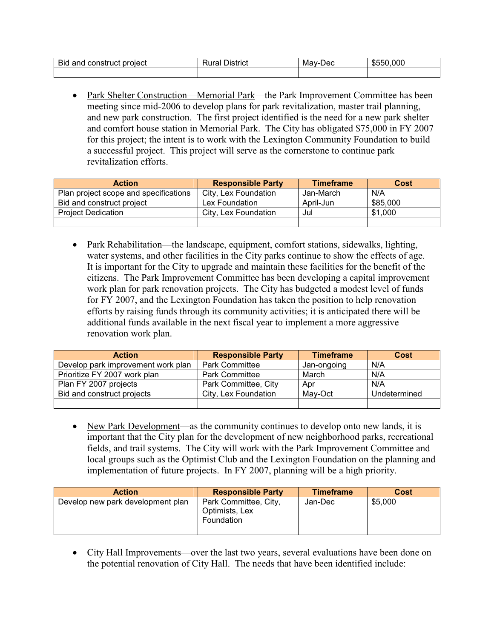| $\sim$<br>project<br>Bia<br>and<br><b>CONSTILICT</b> | <b>District</b><br>vui a | лес<br>Mav-l | .ooc<br>.n. |
|------------------------------------------------------|--------------------------|--------------|-------------|
|                                                      |                          |              |             |

• Park Shelter Construction—Memorial Park—the Park Improvement Committee has been meeting since mid-2006 to develop plans for park revitalization, master trail planning, and new park construction. The first project identified is the need for a new park shelter and comfort house station in Memorial Park. The City has obligated \$75,000 in FY 2007 for this project; the intent is to work with the Lexington Community Foundation to build a successful project. This project will serve as the cornerstone to continue park revitalization efforts.

| <b>Action</b>                         | <b>Responsible Party</b> | <b>Timeframe</b> | Cost     |
|---------------------------------------|--------------------------|------------------|----------|
| Plan project scope and specifications | City, Lex Foundation     | Jan-March        | N/A      |
| Bid and construct project             | Lex Foundation           | April-Jun        | \$85,000 |
| <b>Project Dedication</b>             | City, Lex Foundation     | Jul              | \$1,000  |
|                                       |                          |                  |          |

• Park Rehabilitation—the landscape, equipment, comfort stations, sidewalks, lighting, water systems, and other facilities in the City parks continue to show the effects of age. It is important for the City to upgrade and maintain these facilities for the benefit of the citizens. The Park Improvement Committee has been developing a capital improvement work plan for park renovation projects. The City has budgeted a modest level of funds for FY 2007, and the Lexington Foundation has taken the position to help renovation efforts by raising funds through its community activities; it is anticipated there will be additional funds available in the next fiscal year to implement a more aggressive renovation work plan.

| <b>Action</b>                      | <b>Responsible Party</b> | <b>Timeframe</b> | Cost         |
|------------------------------------|--------------------------|------------------|--------------|
| Develop park improvement work plan | <b>Park Committee</b>    | Jan-ongoing      | N/A          |
| Prioritize FY 2007 work plan       | <b>Park Committee</b>    | March            | N/A          |
| Plan FY 2007 projects              | Park Committee, City     | Apr              | N/A          |
| Bid and construct projects         | City, Lex Foundation     | May-Oct          | Undetermined |
|                                    |                          |                  |              |

 New Park Development—as the community continues to develop onto new lands, it is important that the City plan for the development of new neighborhood parks, recreational fields, and trail systems. The City will work with the Park Improvement Committee and local groups such as the Optimist Club and the Lexington Foundation on the planning and implementation of future projects. In FY 2007, planning will be a high priority.

| <b>Action</b>                     | <b>Responsible Party</b>                              | <b>Timeframe</b> | Cost    |
|-----------------------------------|-------------------------------------------------------|------------------|---------|
| Develop new park development plan | Park Committee, City,<br>Optimists, Lex<br>Foundation | Jan-Dec          | \$5,000 |
|                                   |                                                       |                  |         |

• City Hall Improvements—over the last two years, several evaluations have been done on the potential renovation of City Hall. The needs that have been identified include: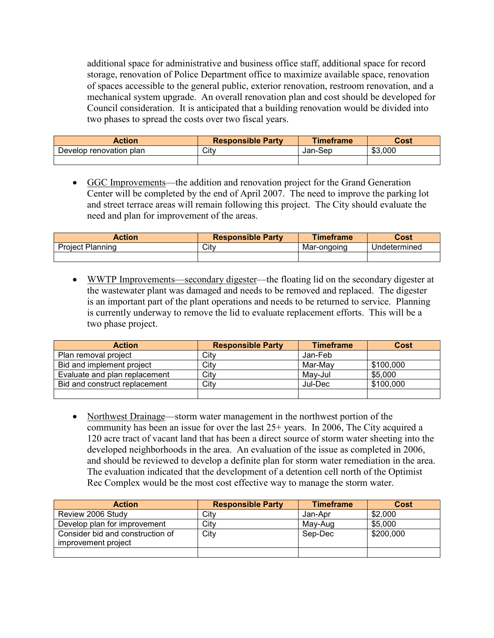additional space for administrative and business office staff, additional space for record storage, renovation of Police Department office to maximize available space, renovation of spaces accessible to the general public, exterior renovation, restroom renovation, and a mechanical system upgrade. An overall renovation plan and cost should be developed for Council consideration. It is anticipated that a building renovation would be divided into two phases to spread the costs over two fiscal years.

| <b>Action</b>           | <b>Responsible Party</b> | <b>Timeframe</b> | Cost    |
|-------------------------|--------------------------|------------------|---------|
| Develop renovation plan | Citv                     | Jan-Sep          | \$3,000 |
|                         |                          |                  |         |

 GGC Improvements—the addition and renovation project for the Grand Generation Center will be completed by the end of April 2007. The need to improve the parking lot and street terrace areas will remain following this project. The City should evaluate the need and plan for improvement of the areas.

| Action                  | <b>Responsible Party</b> | <b>Timeframe</b> | Cost         |
|-------------------------|--------------------------|------------------|--------------|
| <b>Project Planning</b> | Citv                     | Mar-ongoing      | Undetermined |
|                         |                          |                  |              |

 WWTP Improvements—secondary digester—the floating lid on the secondary digester at the wastewater plant was damaged and needs to be removed and replaced. The digester is an important part of the plant operations and needs to be returned to service. Planning is currently underway to remove the lid to evaluate replacement efforts. This will be a two phase project.

| <b>Action</b>                 | <b>Responsible Party</b> | <b>Timeframe</b> | Cost      |
|-------------------------------|--------------------------|------------------|-----------|
| Plan removal project          | City                     | Jan-Feb          |           |
| Bid and implement project     | City                     | Mar-Mav          | \$100,000 |
| Evaluate and plan replacement | City                     | May-Jul          | \$5,000   |
| Bid and construct replacement | Citv                     | Jul-Dec          | \$100.000 |
|                               |                          |                  |           |

• Northwest Drainage—storm water management in the northwest portion of the community has been an issue for over the last 25+ years. In 2006, The City acquired a 120 acre tract of vacant land that has been a direct source of storm water sheeting into the developed neighborhoods in the area. An evaluation of the issue as completed in 2006, and should be reviewed to develop a definite plan for storm water remediation in the area. The evaluation indicated that the development of a detention cell north of the Optimist Rec Complex would be the most cost effective way to manage the storm water.

| <b>Action</b>                                           | <b>Responsible Party</b> | <b>Timeframe</b> | Cost      |
|---------------------------------------------------------|--------------------------|------------------|-----------|
| Review 2006 Study                                       | City                     | Jan-Apr          | \$2,000   |
| Develop plan for improvement                            | City                     | May-Aug          | \$5,000   |
| Consider bid and construction of<br>improvement project | City                     | Sep-Dec          | \$200,000 |
|                                                         |                          |                  |           |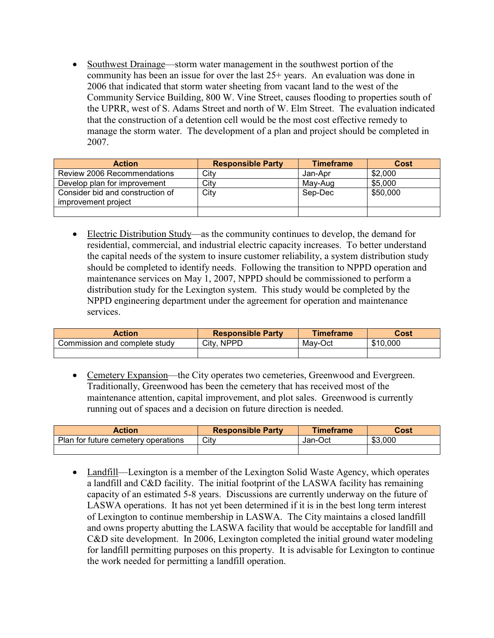Southwest Drainage—storm water management in the southwest portion of the community has been an issue for over the last 25+ years. An evaluation was done in 2006 that indicated that storm water sheeting from vacant land to the west of the Community Service Building, 800 W. Vine Street, causes flooding to properties south of the UPRR, west of S. Adams Street and north of W. Elm Street. The evaluation indicated that the construction of a detention cell would be the most cost effective remedy to manage the storm water. The development of a plan and project should be completed in 2007.

| <b>Action</b>                                           | <b>Responsible Party</b> | <b>Timeframe</b> | Cost     |
|---------------------------------------------------------|--------------------------|------------------|----------|
| Review 2006 Recommendations                             | City                     | Jan-Apr          | \$2,000  |
| Develop plan for improvement                            | City                     | May-Aug          | \$5,000  |
| Consider bid and construction of<br>improvement project | City                     | Sep-Dec          | \$50,000 |
|                                                         |                          |                  |          |

 Electric Distribution Study—as the community continues to develop, the demand for residential, commercial, and industrial electric capacity increases. To better understand the capital needs of the system to insure customer reliability, a system distribution study should be completed to identify needs. Following the transition to NPPD operation and maintenance services on May 1, 2007, NPPD should be commissioned to perform a distribution study for the Lexington system. This study would be completed by the NPPD engineering department under the agreement for operation and maintenance services.

| <b>Action</b>                 | <b>Responsible Party</b> | Timeframe | Cost     |
|-------------------------------|--------------------------|-----------|----------|
| Commission and complete study | City.<br><b>NPPL</b>     | Mav-Oct   | \$10,000 |
|                               |                          |           |          |

 Cemetery Expansion—the City operates two cemeteries, Greenwood and Evergreen. Traditionally, Greenwood has been the cemetery that has received most of the maintenance attention, capital improvement, and plot sales. Greenwood is currently running out of spaces and a decision on future direction is needed.

| <b>Action</b>                       | <b>Responsible Party</b> | Timeframe | Cost    |
|-------------------------------------|--------------------------|-----------|---------|
| Plan for future cemetery operations | City                     | Jan-Oct   | \$3,000 |
|                                     |                          |           |         |

• Landfill—Lexington is a member of the Lexington Solid Waste Agency, which operates a landfill and C&D facility. The initial footprint of the LASWA facility has remaining capacity of an estimated 5-8 years. Discussions are currently underway on the future of LASWA operations. It has not yet been determined if it is in the best long term interest of Lexington to continue membership in LASWA. The City maintains a closed landfill and owns property abutting the LASWA facility that would be acceptable for landfill and C&D site development. In 2006, Lexington completed the initial ground water modeling for landfill permitting purposes on this property. It is advisable for Lexington to continue the work needed for permitting a landfill operation.